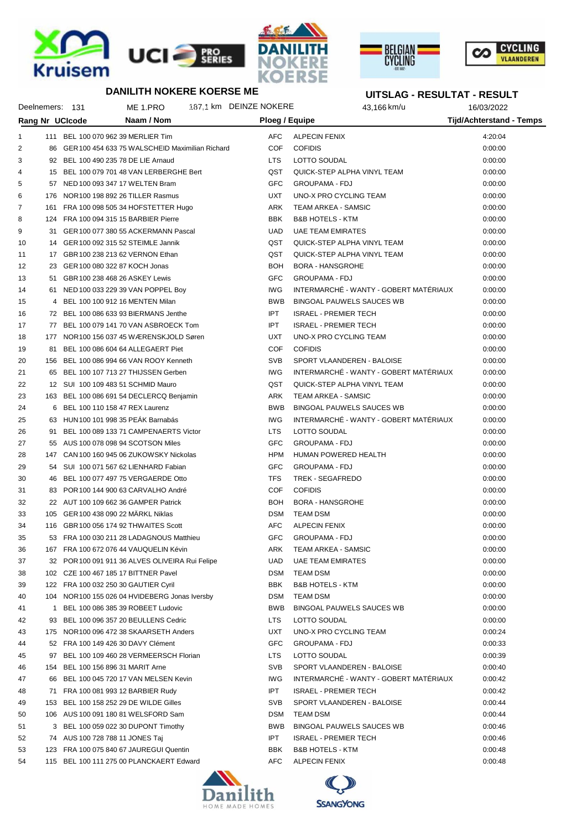







# **UITSLAG - RESULTAT - RESULT**

Deelnemers: 131 ME 1.PRO 487,1 km DEINZE NOKERE 43,166 km/u 16/03/2022

|                | <b>Rang Nr UCIcode</b> |                                                 | Naam / Nom                                         | <b>Ploeg / Equipe</b> |                                        | Tijd/Achterstand - Temps |  |
|----------------|------------------------|-------------------------------------------------|----------------------------------------------------|-----------------------|----------------------------------------|--------------------------|--|
| 1              |                        | 111 BEL 100 070 962 39 MERLIER Tim              |                                                    | <b>AFC</b>            | <b>ALPECIN FENIX</b>                   | 4:20:04                  |  |
| $\overline{2}$ |                        |                                                 | 86 GER 100 454 633 75 WALSCHEID Maximilian Richard | <b>COF</b>            | <b>COFIDIS</b>                         | 0:00:00                  |  |
| 3              |                        | 92 BEL 100 490 235 78 DE LIE Arnaud             |                                                    | <b>LTS</b>            | LOTTO SOUDAL                           | 0:00:00                  |  |
| 4              |                        | 15 BEL 100 079 701 48 VAN LERBERGHE Bert        |                                                    | QST                   | QUICK-STEP ALPHA VINYL TEAM            | 0:00:00                  |  |
| 5              |                        | 57 NED 100 093 347 17 WELTEN Bram               |                                                    | <b>GFC</b>            | <b>GROUPAMA - FDJ</b>                  | 0:00:00                  |  |
| 6              |                        | 176 NOR 100 198 892 26 TILLER Rasmus            |                                                    | <b>UXT</b>            | UNO-X PRO CYCLING TEAM                 | 0:00:00                  |  |
| 7              |                        | 161 FRA 100 098 505 34 HOFSTETTER Hugo          |                                                    | ARK                   | TEAM ARKEA - SAMSIC                    | 0:00:00                  |  |
| 8              |                        | 124 FRA 100 094 315 15 BARBIER Pierre           |                                                    | <b>BBK</b>            | <b>B&amp;B HOTELS - KTM</b>            | 0:00:00                  |  |
| 9              |                        | 31 GER 100 077 380 55 ACKERMANN Pascal          |                                                    | <b>UAD</b>            | <b>UAE TEAM EMIRATES</b>               | 0:00:00                  |  |
| 10             |                        | 14 GER 100 092 315 52 STEIMLE Jannik            |                                                    | QST                   | QUICK-STEP ALPHA VINYL TEAM            | 0:00:00                  |  |
| 11             |                        | 17 GBR 100 238 213 62 VERNON Ethan              |                                                    | QST                   | QUICK-STEP ALPHA VINYL TEAM            | 0:00:00                  |  |
| 12             |                        | 23 GER 100 080 322 87 KOCH Jonas                |                                                    | BOH                   | <b>BORA - HANSGROHE</b>                | 0:00:00                  |  |
| 13             |                        | 51 GBR 100 238 468 26 ASKEY Lewis               |                                                    | <b>GFC</b>            | <b>GROUPAMA - FDJ</b>                  | 0:00:00                  |  |
| 14             |                        | 61 NED 100 033 229 39 VAN POPPEL Boy            |                                                    | <b>IWG</b>            | INTERMARCHE - WANTY - GOBERT MATERIAUX | 0:00:00                  |  |
| 15             |                        | 4 BEL 100 100 912 16 MENTEN Milan               |                                                    | <b>BWB</b>            | BINGOAL PAUWELS SAUCES WB              | 0:00:00                  |  |
| 16             |                        | 72 BEL 100 086 633 93 BIERMANS Jenthe           |                                                    | <b>IPT</b>            | <b>ISRAEL - PREMIER TECH</b>           | 0:00:00                  |  |
| 17             |                        | 77 BEL 100 079 141 70 VAN ASBROECK Tom          |                                                    | <b>IPT</b>            | <b>ISRAEL - PREMIER TECH</b>           | 0:00:00                  |  |
| 18             |                        | 177 NOR 100 156 037 45 WÆRENSKJOLD Søren        |                                                    | UXT                   | UNO-X PRO CYCLING TEAM                 | 0:00:00                  |  |
| 19             |                        | 81 BEL 100 086 604 64 ALLEGAERT Piet            |                                                    | <b>COF</b>            | <b>COFIDIS</b>                         | 0:00:00                  |  |
| 20             |                        | 156 BEL 100 086 994 66 VAN ROOY Kenneth         |                                                    | <b>SVB</b>            | SPORT VLAANDEREN - BALOISE             | 0:00:00                  |  |
| 21             |                        | 65 BEL 100 107 713 27 THIJSSEN Gerben           |                                                    | <b>IWG</b>            | INTERMARCHÉ - WANTY - GOBERT MATÉRIAUX | 0:00:00                  |  |
| 22             |                        | 12 SUI 100 109 483 51 SCHMID Mauro              |                                                    | QST                   | QUICK-STEP ALPHA VINYL TEAM            | 0:00:00                  |  |
| 23             |                        | 163 BEL 100 086 691 54 DECLERCQ Benjamin        |                                                    | ARK                   | <b>TEAM ARKEA - SAMSIC</b>             | 0:00:00                  |  |
| 24             |                        | 6 BEL 100 110 158 47 REX Laurenz                |                                                    | <b>BWB</b>            | <b>BINGOAL PAUWELS SAUCES WB</b>       | 0:00:00                  |  |
| 25             |                        | 63 HUN 100 101 998 35 PEAK Barnabás             |                                                    | <b>IWG</b>            | INTERMARCHÉ - WANTY - GOBERT MATÉRIAUX | 0:00:00                  |  |
| 26             |                        | 91 BEL 100 089 133 71 CAMPENAERTS Victor        |                                                    | <b>LTS</b>            | LOTTO SOUDAL                           | 0:00:00                  |  |
| 27             |                        | 55 AUS 100 078 098 94 SCOTSON Miles             |                                                    | GFC                   | <b>GROUPAMA - FDJ</b>                  | 0:00:00                  |  |
| 28             |                        | 147 CAN 100 160 945 06 ZUKOWSKY Nickolas        |                                                    | HPM                   | HUMAN POWERED HEALTH                   | 0:00:00                  |  |
| 29             |                        | 54 SUI 100 071 567 62 LIENHARD Fabian           |                                                    | <b>GFC</b>            | <b>GROUPAMA - FDJ</b>                  | 0:00:00                  |  |
| 30             |                        | 46 BEL 100 077 497 75 VERGAERDE Otto            |                                                    | <b>TFS</b>            | TREK - SEGAFREDO                       | 0:00:00                  |  |
| 31             |                        | 83 POR 100 144 900 63 CARVALHO André            |                                                    | <b>COF</b>            | <b>COFIDIS</b>                         | 0:00:00                  |  |
| 32             |                        | 22 AUT 100 109 662 36 GAMPER Patrick            |                                                    | <b>BOH</b>            | <b>BORA - HANSGROHE</b>                | 0:00:00                  |  |
| 33             |                        | 105 GER 100 438 090 22 MÄRKL Niklas             |                                                    | <b>DSM</b>            | <b>TEAM DSM</b>                        | 0:00:00                  |  |
| 34             |                        | 116 GBR 100 056 174 92 THWAITES Scott           |                                                    | AFC                   | <b>ALPECIN FENIX</b>                   | 0:00:00                  |  |
| 35             |                        | 53 FRA 100 030 211 28 LADAGNOUS Matthieu        |                                                    | <b>GFC</b>            | <b>GROUPAMA - FDJ</b>                  | 0:00:00                  |  |
| 36             |                        | 167 FRA 100 672 076 44 VAUQUELIN Kévin          |                                                    | ARK                   | TEAM ARKEA - SAMSIC                    | 0:00:00                  |  |
| 37             |                        | 32 POR 100 091 911 36 ALVES OLIVEIRA Rui Felipe |                                                    | <b>UAD</b>            | <b>UAE TEAM EMIRATES</b>               | 0:00:00                  |  |
| 38             |                        | 102 CZE 100 467 185 17 BITTNER Pavel            |                                                    | <b>DSM</b>            | <b>TEAM DSM</b>                        | 0:00:00                  |  |
| 39             |                        | 122 FRA 100 032 250 30 GAUTIER Cyril            |                                                    | <b>BBK</b>            | <b>B&amp;B HOTELS - KTM</b>            | 0:00:00                  |  |
| 40             |                        | 104 NOR 100 155 026 04 HVIDEBERG Jonas Iversby  |                                                    | <b>DSM</b>            | <b>TEAM DSM</b>                        | 0:00:00                  |  |
| 41             | 1                      | BEL 100 086 385 39 ROBEET Ludovic               |                                                    | <b>BWB</b>            | <b>BINGOAL PAUWELS SAUCES WB</b>       | 0:00:00                  |  |
| 42             |                        | 93 BEL 100 096 357 20 BEULLENS Cedric           |                                                    | <b>LTS</b>            | LOTTO SOUDAL                           | 0:00:00                  |  |
| 43             |                        | 175 NOR 100 096 472 38 SKAARSETH Anders         |                                                    | <b>UXT</b>            | UNO-X PRO CYCLING TEAM                 | 0:00:24                  |  |
| 44             |                        | 52 FRA 100 149 426 30 DAVY Clément              |                                                    | GFC                   | <b>GROUPAMA - FDJ</b>                  | 0:00:33                  |  |
| 45             |                        | 97 BEL 100 109 460 28 VERMEERSCH Florian        |                                                    | <b>LTS</b>            | LOTTO SOUDAL                           | 0:00:39                  |  |
| 46             | 154                    | BEL 100 156 896 31 MARIT Arne                   |                                                    | <b>SVB</b>            | SPORT VLAANDEREN - BALOISE             | 0:00:40                  |  |
| 47             |                        | 66 BEL 100 045 720 17 VAN MELSEN Kevin          |                                                    | <b>IWG</b>            | INTERMARCHÉ - WANTY - GOBERT MATÉRIAUX | 0:00:42                  |  |
| 48             |                        | 71 FRA 100 081 993 12 BARBIER Rudy              |                                                    | <b>IPT</b>            | <b>ISRAEL - PREMIER TECH</b>           | 0:00:42                  |  |
| 49             |                        | 153 BEL 100 158 252 29 DE WILDE Gilles          |                                                    | <b>SVB</b>            | SPORT VLAANDEREN - BALOISE             | 0:00:44                  |  |
| 50             |                        | 106 AUS 100 091 180 81 WELSFORD Sam             |                                                    | <b>DSM</b>            | <b>TEAM DSM</b>                        | 0:00:44                  |  |
| 51             |                        | 3 BEL 100 059 022 30 DUPONT Timothy             |                                                    | <b>BWB</b>            | BINGOAL PAUWELS SAUCES WB              | 0:00:46                  |  |
| 52             |                        | 74 AUS 100 728 788 11 JONES Taj                 |                                                    | <b>IPT</b>            | <b>ISRAEL - PREMIER TECH</b>           | 0:00:46                  |  |
| 53             |                        | 123 FRA 100 075 840 67 JAUREGUI Quentin         |                                                    | <b>BBK</b>            | <b>B&amp;B HOTELS - KTM</b>            | 0:00:48                  |  |
| 54             |                        | 115 BEL 100 111 275 00 PLANCKAERT Edward        |                                                    | AFC                   | <b>ALPECIN FENIX</b>                   | 0:00:48                  |  |
|                |                        |                                                 |                                                    |                       |                                        |                          |  |



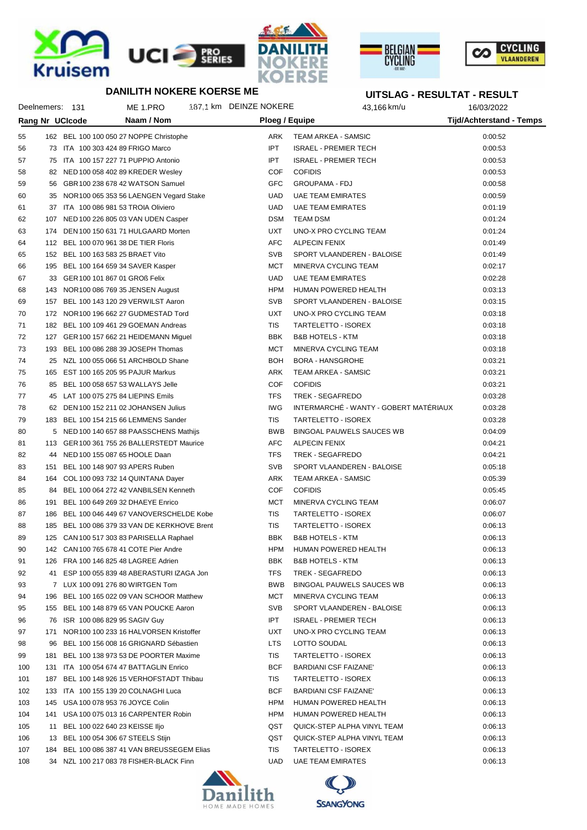







## **UITSLAG - RESULTAT - RESULT**

|     |     | Deelnemers: 131                   | ME 1.PRO                                                                        | 187.1 km DEINZE NOKERE | 43,166 km/u                            | 16/03/2022                      |  |
|-----|-----|-----------------------------------|---------------------------------------------------------------------------------|------------------------|----------------------------------------|---------------------------------|--|
|     |     | Rang Nr UCIcode                   | Naam / Nom                                                                      | Ploeg / Equipe         |                                        | <b>Tijd/Achterstand - Temps</b> |  |
| 55  |     |                                   | 162 BEL 100 100 050 27 NOPPE Christophe                                         | ARK                    | TEAM ARKEA - SAMSIC                    | 0:00:52                         |  |
| 56  |     |                                   | 73 ITA 100 303 424 89 FRIGO Marco                                               | <b>IPT</b>             | <b>ISRAEL - PREMIER TECH</b>           | 0:00:53                         |  |
| 57  |     |                                   | 75 ITA 100 157 227 71 PUPPIO Antonio                                            | IPT                    | <b>ISRAEL - PREMIER TECH</b>           | 0:00:53                         |  |
| 58  |     |                                   | 82 NED 100 058 402 89 KREDER Wesley                                             | COF                    | <b>COFIDIS</b>                         | 0:00:53                         |  |
| 59  |     |                                   | 56 GBR 100 238 678 42 WATSON Samuel                                             | <b>GFC</b>             | <b>GROUPAMA - FDJ</b>                  | 0:00:58                         |  |
| 60  |     |                                   | 35 NOR 100 065 353 56 LAENGEN Vegard Stake                                      | UAD                    | <b>UAE TEAM EMIRATES</b>               | 0:00:59                         |  |
| 61  |     |                                   | 37 ITA 100 086 981 53 TROIA Oliviero                                            | UAD                    | <b>UAE TEAM EMIRATES</b>               | 0:01:19                         |  |
| 62  |     |                                   | 107 NED 100 226 805 03 VAN UDEN Casper                                          | <b>DSM</b>             | <b>TEAM DSM</b>                        | 0:01:24                         |  |
| 63  |     |                                   | 174 DEN 100 150 631 71 HULGAARD Morten                                          | <b>UXT</b>             | UNO-X PRO CYCLING TEAM                 | 0:01:24                         |  |
| 64  |     |                                   | 112 BEL 100 070 961 38 DE TIER Floris                                           | AFC                    | <b>ALPECIN FENIX</b>                   | 0:01:49                         |  |
| 65  |     | 152 BEL 100 163 583 25 BRAET Vito |                                                                                 | SVB                    | SPORT VLAANDEREN - BALOISE             | 0:01:49                         |  |
| 66  | 195 |                                   | BEL 100 164 659 34 SAVER Kasper                                                 | <b>MCT</b>             | MINERVA CYCLING TEAM                   | 0:02:17                         |  |
| 67  |     | 33 GER 100 101 867 01 GROß Felix  |                                                                                 | UAD                    | <b>UAE TEAM EMIRATES</b>               | 0:02:28                         |  |
| 68  |     |                                   | 143 NOR 100 086 769 35 JENSEN August                                            | <b>HPM</b>             | HUMAN POWERED HEALTH                   | 0:03:13                         |  |
| 69  |     |                                   | 157 BEL 100 143 120 29 VERWILST Aaron                                           | <b>SVB</b>             | SPORT VLAANDEREN - BALOISE             | 0:03:15                         |  |
| 70  |     |                                   | 172 NOR100 196 662 27 GUDMESTAD Tord                                            | <b>UXT</b>             | UNO-X PRO CYCLING TEAM                 | 0:03:18                         |  |
| 71  |     |                                   | 182 BEL 100 109 461 29 GOEMAN Andreas                                           | <b>TIS</b>             | TARTELETTO - ISOREX                    | 0:03:18                         |  |
| 72  |     |                                   |                                                                                 | <b>BBK</b>             | <b>B&amp;B HOTELS - KTM</b>            | 0:03:18                         |  |
| 73  |     |                                   | 127 GER 100 157 662 21 HEIDEMANN Miguel<br>193 BEL 100 086 288 39 JOSEPH Thomas | <b>MCT</b>             | MINERVA CYCLING TEAM                   | 0:03:18                         |  |
| 74  |     |                                   | 25 NZL 100 055 066 51 ARCHBOLD Shane                                            | <b>BOH</b>             |                                        |                                 |  |
|     |     |                                   |                                                                                 | ARK                    | <b>BORA - HANSGROHE</b>                | 0:03:21                         |  |
| 75  |     |                                   | 165 EST 100 165 205 95 PAJUR Markus                                             | COF                    | TEAM ARKEA - SAMSIC<br><b>COFIDIS</b>  | 0:03:21                         |  |
| 76  |     |                                   | 85 BEL 100 058 657 53 WALLAYS Jelle                                             |                        |                                        | 0:03:21                         |  |
| 77  |     |                                   | 45 LAT 100 075 275 84 LIEPINS Emils                                             | <b>TFS</b>             | TREK - SEGAFREDO                       | 0:03:28                         |  |
| 78  |     |                                   | 62 DEN 100 152 211 02 JOHANSEN Julius                                           | IWG                    | INTERMARCHÉ - WANTY - GOBERT MATÉRIAUX | 0:03:28                         |  |
| 79  |     |                                   | 183 BEL 100 154 215 66 LEMMENS Sander                                           | TIS                    | TARTELETTO - ISOREX                    | 0:03:28                         |  |
| 80  |     |                                   | 5 NED 100 140 657 88 PAASSCHENS Mathijs                                         | <b>BWB</b>             | BINGOAL PAUWELS SAUCES WB              | 0:04:09                         |  |
| 81  |     |                                   | 113 GER 100 361 755 26 BALLERSTEDT Maurice                                      | AFC                    | <b>ALPECIN FENIX</b>                   | 0:04:21                         |  |
| 82  |     |                                   | 44 NED 100 155 087 65 HOOLE Daan                                                | <b>TFS</b>             | TREK - SEGAFREDO                       | 0:04:21                         |  |
| 83  | 151 |                                   | BEL 100 148 907 93 APERS Ruben                                                  | SVB                    | SPORT VLAANDEREN - BALOISE             | 0:05:18                         |  |
| 84  |     |                                   | 164 COL 100 093 732 14 QUINTANA Dayer                                           | ARK                    | TEAM ARKEA - SAMSIC                    | 0:05:39                         |  |
| 85  |     |                                   | 84 BEL 100 064 272 42 VANBILSEN Kenneth                                         | COF                    | <b>COFIDIS</b>                         | 0:05:45                         |  |
| 86  | 191 |                                   | BEL 100 649 269 32 DHAEYE Enrico                                                | <b>MCT</b>             | MINERVA CYCLING TEAM                   | 0:06:07                         |  |
| 87  | 186 |                                   | BEL 100 046 449 67 VANOVERSCHELDE Kobe                                          | <b>TIS</b>             | TARTELETTO - ISOREX                    | 0:06:07                         |  |
| 88  | 185 |                                   | BEL 100 086 379 33 VAN DE KERKHOVE Brent                                        | <b>TIS</b>             | TARTELETTO - ISOREX                    | 0:06:13                         |  |
| 89  |     |                                   | 125 CAN 100 517 303 83 PARISELLA Raphael                                        | <b>BBK</b>             | <b>B&amp;B HOTELS - KTM</b>            | 0:06:13                         |  |
| 90  |     |                                   | 142 CAN 100 765 678 41 COTE Pier Andre                                          | HPM                    | HUMAN POWERED HEALTH                   | 0:06:13                         |  |
| 91  |     |                                   | 126 FRA 100 146 825 48 LAGREE Adrien                                            | <b>BBK</b>             | B&B HOTELS - KTM                       | 0:06:13                         |  |
| 92  |     |                                   | 41 ESP 100 055 839 48 ABERASTURI IZAGA Jon                                      | <b>TFS</b>             | TREK - SEGAFREDO                       | 0:06:13                         |  |
| 93  |     |                                   | 7 LUX 100 091 276 80 WIRTGEN Tom                                                | <b>BWB</b>             | <b>BINGOAL PAUWELS SAUCES WB</b>       | 0:06:13                         |  |
| 94  |     |                                   | 196 BEL 100 165 022 09 VAN SCHOOR Matthew                                       | <b>MCT</b>             | MINERVA CYCLING TEAM                   | 0:06:13                         |  |
| 95  |     |                                   | 155 BEL 100 148 879 65 VAN POUCKE Aaron                                         | SVB                    | SPORT VLAANDEREN - BALOISE             | 0:06:13                         |  |
| 96  |     | 76 ISR 100 086 829 95 SAGIV Guy   |                                                                                 | <b>IPT</b>             | <b>ISRAEL - PREMIER TECH</b>           | 0:06:13                         |  |
| 97  |     |                                   | 171 NOR 100 100 233 16 HALVORSEN Kristoffer                                     | <b>UXT</b>             | UNO-X PRO CYCLING TEAM                 | 0:06:13                         |  |
| 98  | 96  |                                   | BEL 100 156 008 16 GRIGNARD Sébastien                                           | <b>LTS</b>             | LOTTO SOUDAL                           | 0:06:13                         |  |
| 99  |     |                                   | 181 BEL 100 138 973 53 DE POORTER Maxime                                        | <b>TIS</b>             | TARTELETTO - ISOREX                    | 0:06:13                         |  |
| 100 |     |                                   | 131 ITA 100 054 674 47 BATTAGLIN Enrico                                         | <b>BCF</b>             | <b>BARDIANI CSF FAIZANE'</b>           | 0:06:13                         |  |
| 101 |     |                                   | 187 BEL 100 148 926 15 VERHOFSTADT Thibau                                       | TIS                    | TARTELETTO - ISOREX                    | 0:06:13                         |  |
| 102 |     |                                   | 133 ITA 100 155 139 20 COLNAGHI Luca                                            | <b>BCF</b>             | <b>BARDIANI CSF FAIZANE'</b>           | 0:06:13                         |  |
| 103 |     |                                   | 145 USA 100 078 953 76 JOYCE Colin                                              | HPM                    | HUMAN POWERED HEALTH                   | 0:06:13                         |  |
| 104 |     |                                   | 141 USA 100 075 013 16 CARPENTER Robin                                          | HPM                    | HUMAN POWERED HEALTH                   | 0:06:13                         |  |
| 105 |     | 11 BEL 100 022 640 23 KEISSE Iljo |                                                                                 | QST                    | QUICK-STEP ALPHA VINYL TEAM            | 0:06:13                         |  |
| 106 |     |                                   | 13 BEL 100 054 306 67 STEELS Stijn                                              | QST                    | QUICK-STEP ALPHA VINYL TEAM            | 0:06:13                         |  |
| 107 |     |                                   | 184 BEL 100 086 387 41 VAN BREUSSEGEM Elias                                     | TIS                    | TARTELETTO - ISOREX                    | 0:06:13                         |  |
| 108 |     |                                   | 34 NZL 100 217 083 78 FISHER-BLACK Finn                                         | UAD.                   | <b>UAE TEAM EMIRATES</b>               | 0:06:13                         |  |



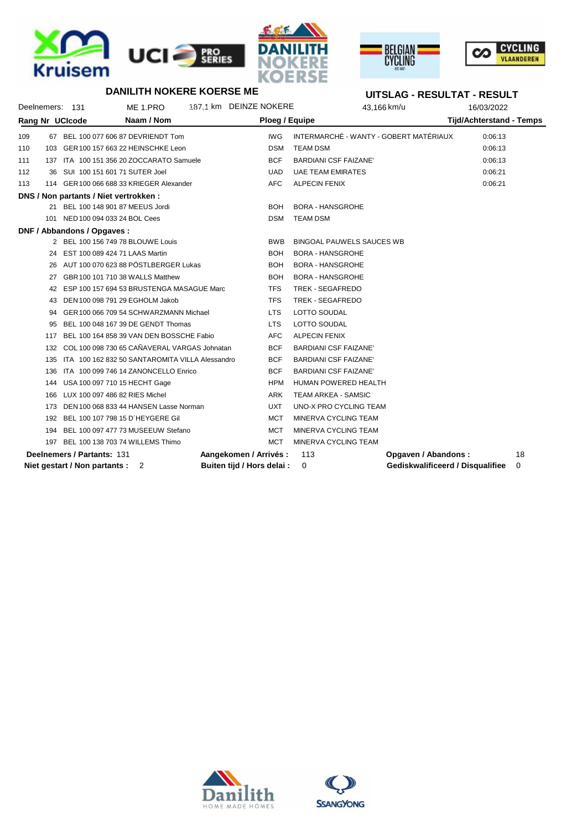





#### **UITSLAG - RESULTAT - RESULT**

| Deelnemers: 131 |     |                                        | ME 1.PRO                                        | 187.1 km DEINZE NOKERE     | 43,166 km/u                            |                     | 16/03/2022                       |    |
|-----------------|-----|----------------------------------------|-------------------------------------------------|----------------------------|----------------------------------------|---------------------|----------------------------------|----|
| Rang Nr UCIcode |     |                                        | Naam / Nom                                      |                            | Ploeg / Equipe                         |                     | <b>Tijd/Achterstand - Temps</b>  |    |
| 109             |     |                                        | 67 BEL 100 077 606 87 DEVRIENDT Tom             | <b>IWG</b>                 | INTERMARCHÉ - WANTY - GOBERT MATÉRIAUX |                     | 0:06:13                          |    |
| 110             |     |                                        | 103 GER 100 157 663 22 HEINSCHKE Leon           | <b>DSM</b>                 | <b>TEAM DSM</b>                        |                     | 0:06:13                          |    |
| 111             |     |                                        | 137 ITA 100 151 356 20 ZOCCARATO Samuele        | <b>BCF</b>                 | <b>BARDIANI CSF FAIZANE'</b>           |                     | 0:06:13                          |    |
| 112             | 36  | SUI 100 151 601 71 SUTER Joel          |                                                 | <b>UAD</b>                 | <b>UAE TEAM EMIRATES</b>               |                     | 0:06:21                          |    |
| 113             |     |                                        | 114 GER 100 066 688 33 KRIEGER Alexander        | <b>AFC</b>                 | <b>ALPECIN FENIX</b>                   |                     | 0:06:21                          |    |
|                 |     | DNS / Non partants / Niet vertrokken : |                                                 |                            |                                        |                     |                                  |    |
|                 |     |                                        | 21 BEL 100 148 901 87 MEEUS Jordi               | <b>BOH</b>                 | <b>BORA - HANSGROHE</b>                |                     |                                  |    |
|                 |     | 101 NED 100 094 033 24 BOL Cees        |                                                 | <b>DSM</b>                 | <b>TEAM DSM</b>                        |                     |                                  |    |
|                 |     | DNF / Abbandons / Opgaves :            |                                                 |                            |                                        |                     |                                  |    |
|                 |     |                                        | 2 BEL 100 156 749 78 BLOUWE Louis               | <b>BWB</b>                 | <b>BINGOAL PAUWELS SAUCES WB</b>       |                     |                                  |    |
|                 |     | 24 EST 100 089 424 71 LAAS Martin      |                                                 | <b>BOH</b>                 | <b>BORA - HANSGROHE</b>                |                     |                                  |    |
|                 |     |                                        | 26 AUT 100 070 623 88 PÖSTLBERGER Lukas         | <b>BOH</b>                 | <b>BORA - HANSGROHE</b>                |                     |                                  |    |
|                 | 27  |                                        | GBR 100 101 710 38 WALLS Matthew                | <b>BOH</b>                 | <b>BORA - HANSGROHE</b>                |                     |                                  |    |
|                 |     |                                        | 42 ESP 100 157 694 53 BRUSTENGA MASAGUE Marc    | <b>TFS</b>                 | TREK - SEGAFREDO                       |                     |                                  |    |
|                 | 43  |                                        | DEN 100 098 791 29 EGHOLM Jakob                 | <b>TFS</b>                 | TREK - SEGAFREDO                       |                     |                                  |    |
|                 | 94  |                                        | GER 100 066 709 54 SCHWARZMANN Michael          | <b>LTS</b>                 | LOTTO SOUDAL                           |                     |                                  |    |
|                 | 95  |                                        | BEL 100 048 167 39 DE GENDT Thomas              | <b>LTS</b>                 | LOTTO SOUDAL                           |                     |                                  |    |
|                 | 117 |                                        | BEL 100 164 858 39 VAN DEN BOSSCHE Fabio        | <b>AFC</b>                 | <b>ALPECIN FENIX</b>                   |                     |                                  |    |
|                 | 132 |                                        | COL 100 098 730 65 CAÑAVERAL VARGAS Johnatan    | <b>BCF</b>                 | <b>BARDIANI CSF FAIZANE'</b>           |                     |                                  |    |
|                 | 135 |                                        | ITA 100 162 832 50 SANTAROMITA VILLA Alessandro | <b>BCF</b>                 | <b>BARDIANI CSF FAIZANE'</b>           |                     |                                  |    |
|                 | 136 |                                        | ITA 100 099 746 14 ZANONCELLO Enrico            | <b>BCF</b>                 | <b>BARDIANI CSF FAIZANE'</b>           |                     |                                  |    |
|                 | 144 |                                        | USA 100 097 710 15 HECHT Gage                   | <b>HPM</b>                 | <b>HUMAN POWERED HEALTH</b>            |                     |                                  |    |
|                 | 166 | LUX 100 097 486 82 RIES Michel         |                                                 | <b>ARK</b>                 | TEAM ARKEA - SAMSIC                    |                     |                                  |    |
|                 | 173 |                                        | DEN 100 068 833 44 HANSEN Lasse Norman          | <b>UXT</b>                 | UNO-X PRO CYCLING TEAM                 |                     |                                  |    |
|                 |     |                                        | 192 BEL 100 107 798 15 D'HEYGERE Gil            | <b>MCT</b>                 | MINERVA CYCLING TEAM                   |                     |                                  |    |
|                 | 194 |                                        | BEL 100 097 477 73 MUSEEUW Stefano              | <b>MCT</b>                 | MINERVA CYCLING TEAM                   |                     |                                  |    |
|                 | 197 |                                        | BEL 100 138 703 74 WILLEMS Thimo                | <b>MCT</b>                 | MINERVA CYCLING TEAM                   |                     |                                  |    |
|                 |     | Deelnemers / Partants: 131             |                                                 | Aangekomen / Arrivés :     | 113                                    | Opgaven / Abandons: |                                  | 18 |
|                 |     | Niet gestart / Non partants : 2        |                                                 | Buiten tijd / Hors delai : | 0                                      |                     | Gediskwalificeerd / Disqualifiee | 0  |